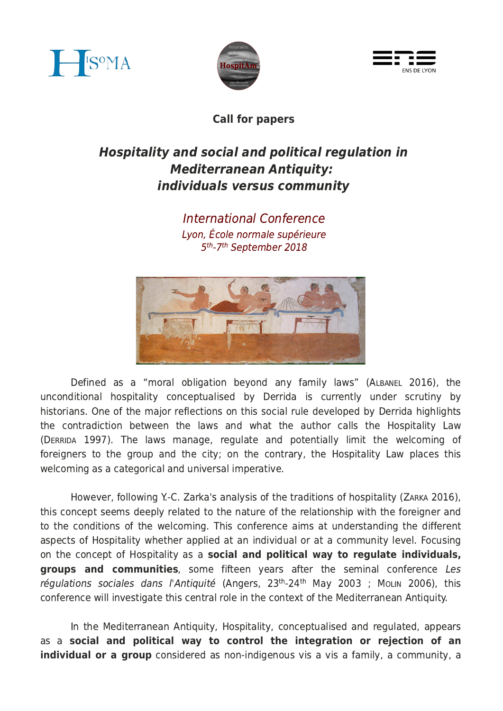





Call for papers

## Hospitality and social and political regulation in **Mediterranean Antiquity:** individuals versus community

International Conference Lyon, École normale supérieure 5<sup>th</sup>-7<sup>th</sup> September 2018



Defined as a "moral obligation beyond any family laws" (ALBANEL 2016), the unconditional hospitality conceptualised by Derrida is currently under scrutiny by historians. One of the major reflections on this social rule developed by Derrida highlights the contradiction between the laws and what the author calls the Hospitality Law (DERRIDA 1997). The laws manage, regulate and potentially limit the welcoming of foreigners to the group and the city; on the contrary, the Hospitality Law places this welcoming as a categorical and universal imperative.

However, following Y.-C. Zarka's analysis of the traditions of hospitality (ZARKA 2016). this concept seems deeply related to the nature of the relationship with the foreigner and to the conditions of the welcoming. This conference aims at understanding the different aspects of Hospitality whether applied at an individual or at a community level. Focusing on the concept of Hospitality as a social and political way to regulate individuals, groups and communities, some fifteen years after the seminal conference Les régulations sociales dans l'Antiquité (Angers, 23<sup>th</sup>-24<sup>th</sup> May 2003 ; Moun 2006), this conference will investigate this central role in the context of the Mediterranean Antiquity.

In the Mediterranean Antiquity, Hospitality, conceptualised and regulated, appears as a social and political way to control the integration or rejection of an individual or a group considered as non-indigenous vis a vis a family, a community, a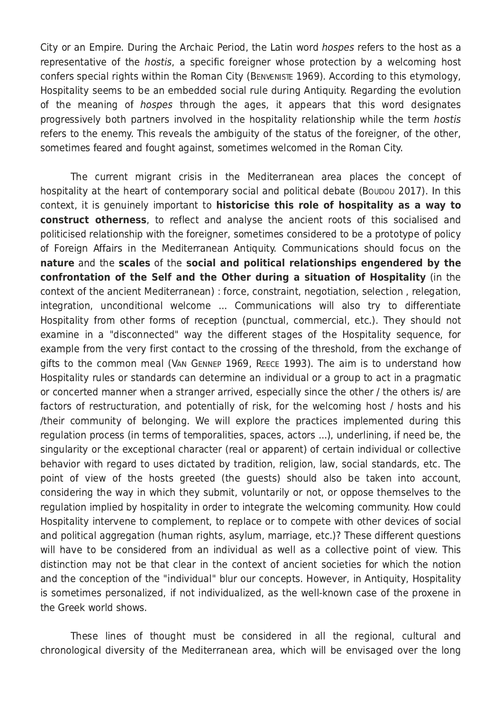City or an Empire. During the Archaic Period, the Latin word hospes refers to the host as a representative of the *hostis*, a specific foreigner whose protection by a welcoming host confers special rights within the Roman City (BENVENISTE 1969). According to this etymology, Hospitality seems to be an embedded social rule during Antiquity. Regarding the evolution of the meaning of *hospes* through the ages, it appears that this word designates progressively both partners involved in the hospitality relationship while the term hostis refers to the enemy. This reveals the ambiguity of the status of the foreigner, of the other, sometimes feared and fought against, sometimes welcomed in the Roman City.

The current migrant crisis in the Mediterranean area places the concept of hospitality at the heart of contemporary social and political debate (Boupou 2017). In this context, it is genuinely important to historicise this role of hospitality as a way to construct otherness, to reflect and analyse the ancient roots of this socialised and politicised relationship with the foreigner, sometimes considered to be a prototype of policy of Foreign Affairs in the Mediterranean Antiquity. Communications should focus on the nature and the scales of the social and political relationships engendered by the confrontation of the Self and the Other during a situation of Hospitality (in the context of the ancient Mediterranean) : force, constraint, negotiation, selection, relegation, integration, unconditional welcome ... Communications will also try to differentiate Hospitality from other forms of reception (punctual, commercial, etc.). They should not examine in a "disconnected" way the different stages of the Hospitality sequence, for example from the very first contact to the crossing of the threshold, from the exchange of gifts to the common meal (VAN GENNEP 1969, REECE 1993). The aim is to understand how Hospitality rules or standards can determine an individual or a group to act in a pragmatic or concerted manner when a stranger arrived, especially since the other / the others is/ are factors of restructuration, and potentially of risk, for the welcoming host / hosts and his /their community of belonging. We will explore the practices implemented during this requlation process (in terms of temporalities, spaces, actors ...), underlining, if need be, the singularity or the exceptional character (real or apparent) of certain individual or collective behavior with regard to uses dictated by tradition, religion, law, social standards, etc. The point of view of the hosts greeted (the guests) should also be taken into account, considering the way in which they submit, voluntarily or not, or oppose themselves to the regulation implied by hospitality in order to integrate the welcoming community. How could Hospitality intervene to complement, to replace or to compete with other devices of social and political aggregation (human rights, asylum, marriage, etc.)? These different questions will have to be considered from an individual as well as a collective point of view. This distinction may not be that clear in the context of ancient societies for which the notion and the conception of the "individual" blur our concepts. However, in Antiquity, Hospitality is sometimes personalized, if not individualized, as the well-known case of the proxene in the Greek world shows.

These lines of thought must be considered in all the regional, cultural and chronological diversity of the Mediterranean area, which will be envisaged over the long